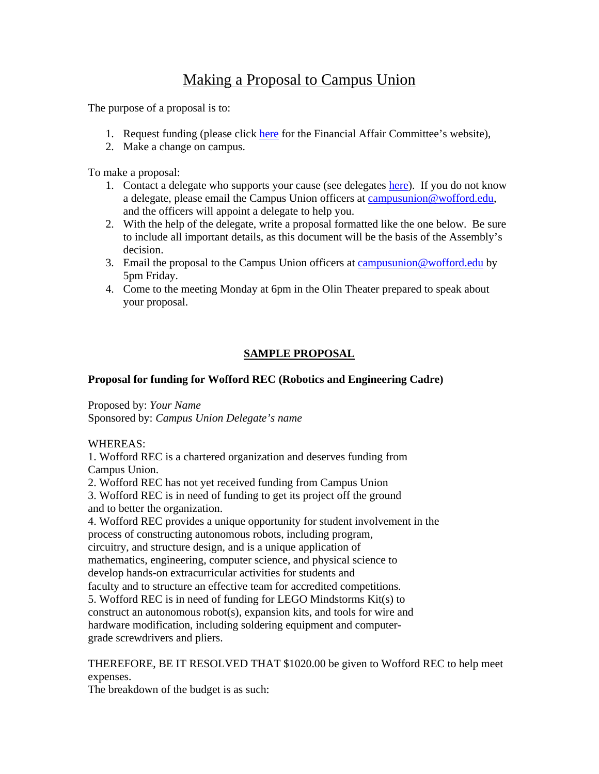# Making a Proposal to Campus Union

The purpose of a proposal is to:

- 1. Request funding (please click [here](http://wofford.edu/campusUnion/content.aspx?id=27234) for the Financial Affair Committee's website),
- 2. Make a change on campus.

To make a proposal:

- 1. Contact a delegate who supports your cause (see delegates [here\)](http://wofford.edu/campusUnion/content.aspx?id=10974). If you do not know a delegate, please email the Campus Union officers at [campusunion@wofford.edu,](mailto:campusunion@wofford.edu) and the officers will appoint a delegate to help you.
- 2. With the help of the delegate, write a proposal formatted like the one below. Be sure to include all important details, as this document will be the basis of the Assembly's decision.
- 3. Email the proposal to the Campus Union officers at [campusunion@wofford.edu](mailto:campusunion@wofford.edu) by 5pm Friday.
- 4. Come to the meeting Monday at 6pm in the Olin Theater prepared to speak about your proposal.

# **SAMPLE PROPOSAL**

## **Proposal for funding for Wofford REC (Robotics and Engineering Cadre)**

Proposed by: *Your Name* Sponsored by: *Campus Union Delegate's name* 

### WHEREAS:

1. Wofford REC is a chartered organization and deserves funding from Campus Union.

2. Wofford REC has not yet received funding from Campus Union 3. Wofford REC is in need of funding to get its project off the ground and to better the organization.

4. Wofford REC provides a unique opportunity for student involvement in the process of constructing autonomous robots, including program, circuitry, and structure design, and is a unique application of mathematics, engineering, computer science, and physical science to develop hands-on extracurricular activities for students and faculty and to structure an effective team for accredited competitions. 5. Wofford REC is in need of funding for LEGO Mindstorms Kit(s) to construct an autonomous robot(s), expansion kits, and tools for wire and hardware modification, including soldering equipment and computergrade screwdrivers and pliers.

### THEREFORE, BE IT RESOLVED THAT \$1020.00 be given to Wofford REC to help meet expenses.

The breakdown of the budget is as such: